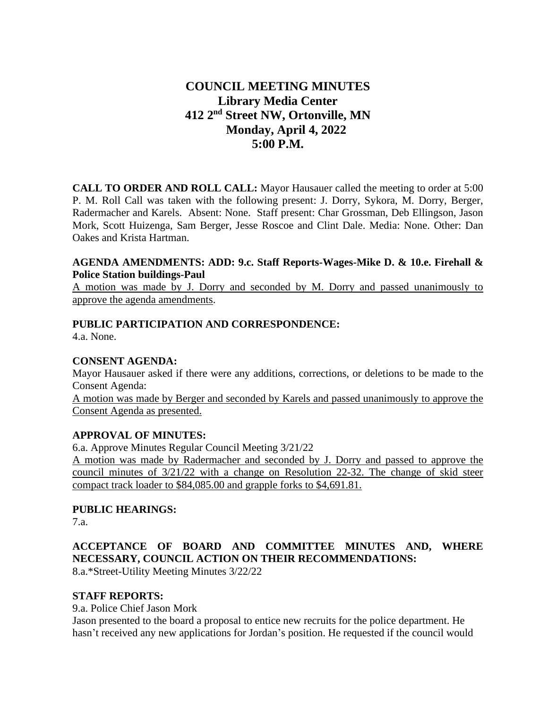# **COUNCIL MEETING MINUTES Library Media Center 412 2nd Street NW, Ortonville, MN Monday, April 4, 2022 5:00 P.M.**

**CALL TO ORDER AND ROLL CALL:** Mayor Hausauer called the meeting to order at 5:00 P. M. Roll Call was taken with the following present: J. Dorry, Sykora, M. Dorry, Berger, Radermacher and Karels. Absent: None. Staff present: Char Grossman, Deb Ellingson, Jason Mork, Scott Huizenga, Sam Berger, Jesse Roscoe and Clint Dale. Media: None. Other: Dan Oakes and Krista Hartman.

#### **AGENDA AMENDMENTS: ADD: 9.c. Staff Reports-Wages-Mike D. & 10.e. Firehall & Police Station buildings-Paul**

A motion was made by J. Dorry and seconded by M. Dorry and passed unanimously to approve the agenda amendments.

## **PUBLIC PARTICIPATION AND CORRESPONDENCE:**

4.a. None.

### **CONSENT AGENDA:**

Mayor Hausauer asked if there were any additions, corrections, or deletions to be made to the Consent Agenda:

A motion was made by Berger and seconded by Karels and passed unanimously to approve the Consent Agenda as presented.

#### **APPROVAL OF MINUTES:**

6.a. Approve Minutes Regular Council Meeting 3/21/22

A motion was made by Radermacher and seconded by J. Dorry and passed to approve the council minutes of 3/21/22 with a change on Resolution 22-32. The change of skid steer compact track loader to \$84,085.00 and grapple forks to \$4,691.81.

## **PUBLIC HEARINGS:**

7.a.

# **ACCEPTANCE OF BOARD AND COMMITTEE MINUTES AND, WHERE NECESSARY, COUNCIL ACTION ON THEIR RECOMMENDATIONS:**

8.a.\*Street-Utility Meeting Minutes 3/22/22

## **STAFF REPORTS:**

9.a. Police Chief Jason Mork

Jason presented to the board a proposal to entice new recruits for the police department. He hasn't received any new applications for Jordan's position. He requested if the council would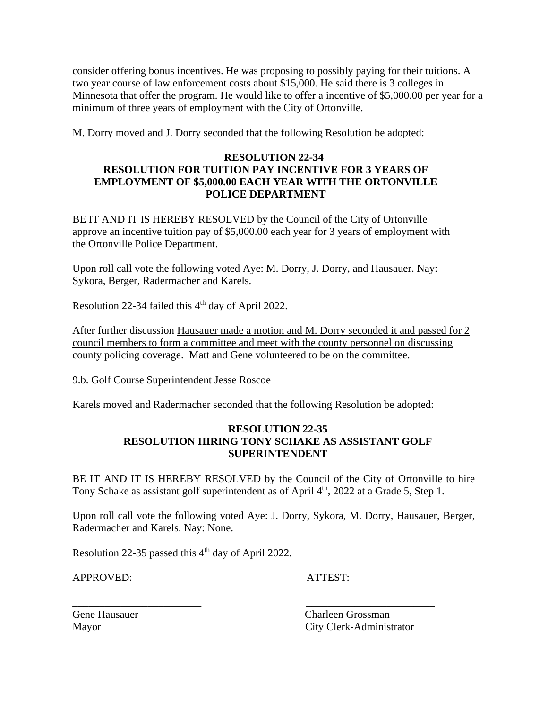consider offering bonus incentives. He was proposing to possibly paying for their tuitions. A two year course of law enforcement costs about \$15,000. He said there is 3 colleges in Minnesota that offer the program. He would like to offer a incentive of \$5,000.00 per year for a minimum of three years of employment with the City of Ortonville.

M. Dorry moved and J. Dorry seconded that the following Resolution be adopted:

## **RESOLUTION 22-34 RESOLUTION FOR TUITION PAY INCENTIVE FOR 3 YEARS OF EMPLOYMENT OF \$5,000.00 EACH YEAR WITH THE ORTONVILLE POLICE DEPARTMENT**

BE IT AND IT IS HEREBY RESOLVED by the Council of the City of Ortonville approve an incentive tuition pay of \$5,000.00 each year for 3 years of employment with the Ortonville Police Department.

Upon roll call vote the following voted Aye: M. Dorry, J. Dorry, and Hausauer. Nay: Sykora, Berger, Radermacher and Karels.

Resolution 22-34 failed this 4<sup>th</sup> day of April 2022.

After further discussion Hausauer made a motion and M. Dorry seconded it and passed for 2 council members to form a committee and meet with the county personnel on discussing county policing coverage. Matt and Gene volunteered to be on the committee.

9.b. Golf Course Superintendent Jesse Roscoe

Karels moved and Radermacher seconded that the following Resolution be adopted:

#### **RESOLUTION 22-35 RESOLUTION HIRING TONY SCHAKE AS ASSISTANT GOLF SUPERINTENDENT**

BE IT AND IT IS HEREBY RESOLVED by the Council of the City of Ortonville to hire Tony Schake as assistant golf superintendent as of April 4<sup>th</sup>, 2022 at a Grade 5, Step 1.

Upon roll call vote the following voted Aye: J. Dorry, Sykora, M. Dorry, Hausauer, Berger, Radermacher and Karels. Nay: None.

\_\_\_\_\_\_\_\_\_\_\_\_\_\_\_\_\_\_\_\_\_\_\_\_ \_\_\_\_\_\_\_\_\_\_\_\_\_\_\_\_\_\_\_\_\_\_\_\_

Resolution 22-35 passed this  $4<sup>th</sup>$  day of April 2022.

APPROVED: ATTEST:

Gene Hausauer Charleen Grossman Mayor City Clerk-Administrator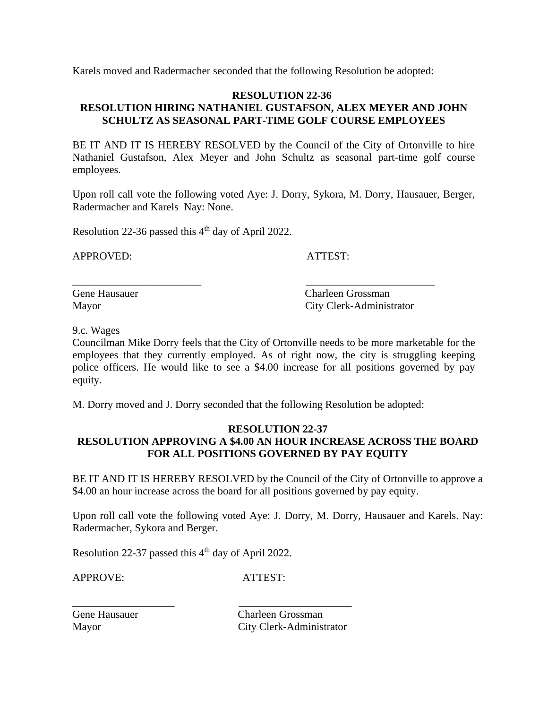Karels moved and Radermacher seconded that the following Resolution be adopted:

## **RESOLUTION 22-36 RESOLUTION HIRING NATHANIEL GUSTAFSON, ALEX MEYER AND JOHN SCHULTZ AS SEASONAL PART-TIME GOLF COURSE EMPLOYEES**

BE IT AND IT IS HEREBY RESOLVED by the Council of the City of Ortonville to hire Nathaniel Gustafson, Alex Meyer and John Schultz as seasonal part-time golf course employees.

Upon roll call vote the following voted Aye: J. Dorry, Sykora, M. Dorry, Hausauer, Berger, Radermacher and Karels Nay: None.

Resolution 22-36 passed this  $4<sup>th</sup>$  day of April 2022.

APPROVED: ATTEST:

Gene Hausauer Charleen Grossman Mayor City Clerk-Administrator

9.c. Wages

Councilman Mike Dorry feels that the City of Ortonville needs to be more marketable for the employees that they currently employed. As of right now, the city is struggling keeping police officers. He would like to see a \$4.00 increase for all positions governed by pay equity.

M. Dorry moved and J. Dorry seconded that the following Resolution be adopted:

\_\_\_\_\_\_\_\_\_\_\_\_\_\_\_\_\_\_\_\_\_\_\_\_ \_\_\_\_\_\_\_\_\_\_\_\_\_\_\_\_\_\_\_\_\_\_\_\_

#### **RESOLUTION 22-37 RESOLUTION APPROVING A \$4.00 AN HOUR INCREASE ACROSS THE BOARD FOR ALL POSITIONS GOVERNED BY PAY EQUITY**

BE IT AND IT IS HEREBY RESOLVED by the Council of the City of Ortonville to approve a \$4.00 an hour increase across the board for all positions governed by pay equity.

Upon roll call vote the following voted Aye: J. Dorry, M. Dorry, Hausauer and Karels. Nay: Radermacher, Sykora and Berger.

Resolution 22-37 passed this  $4<sup>th</sup>$  day of April 2022.

\_\_\_\_\_\_\_\_\_\_\_\_\_\_\_\_\_\_\_ \_\_\_\_\_\_\_\_\_\_\_\_\_\_\_\_\_\_\_\_\_

APPROVE: ATTEST:

Gene Hausauer Charleen Grossman Mayor City Clerk-Administrator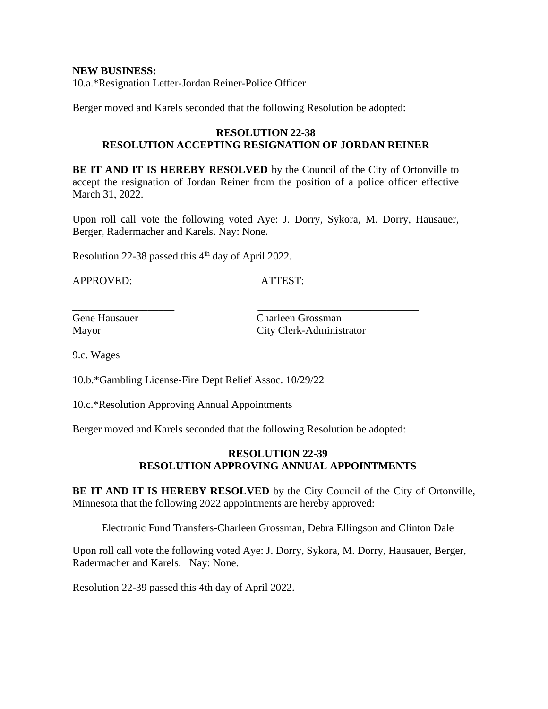**NEW BUSINESS:** 10.a.\*Resignation Letter-Jordan Reiner-Police Officer

Berger moved and Karels seconded that the following Resolution be adopted:

#### **RESOLUTION 22-38 RESOLUTION ACCEPTING RESIGNATION OF JORDAN REINER**

**BE IT AND IT IS HEREBY RESOLVED** by the Council of the City of Ortonville to accept the resignation of Jordan Reiner from the position of a police officer effective March 31, 2022.

Upon roll call vote the following voted Aye: J. Dorry, Sykora, M. Dorry, Hausauer, Berger, Radermacher and Karels. Nay: None.

Resolution 22-38 passed this  $4<sup>th</sup>$  day of April 2022.

APPROVED: ATTEST:

Gene Hausauer Charleen Grossman Mayor City Clerk-Administrator

9.c. Wages

10.b.\*Gambling License-Fire Dept Relief Assoc. 10/29/22

10.c.\*Resolution Approving Annual Appointments

Berger moved and Karels seconded that the following Resolution be adopted:

\_\_\_\_\_\_\_\_\_\_\_\_\_\_\_\_\_\_\_ \_\_\_\_\_\_\_\_\_\_\_\_\_\_\_\_\_\_\_\_\_\_\_\_\_\_\_\_\_\_

## **RESOLUTION 22-39 RESOLUTION APPROVING ANNUAL APPOINTMENTS**

**BE IT AND IT IS HEREBY RESOLVED** by the City Council of the City of Ortonville, Minnesota that the following 2022 appointments are hereby approved:

Electronic Fund Transfers-Charleen Grossman, Debra Ellingson and Clinton Dale

Upon roll call vote the following voted Aye: J. Dorry, Sykora, M. Dorry, Hausauer, Berger, Radermacher and Karels. Nay: None.

Resolution 22-39 passed this 4th day of April 2022.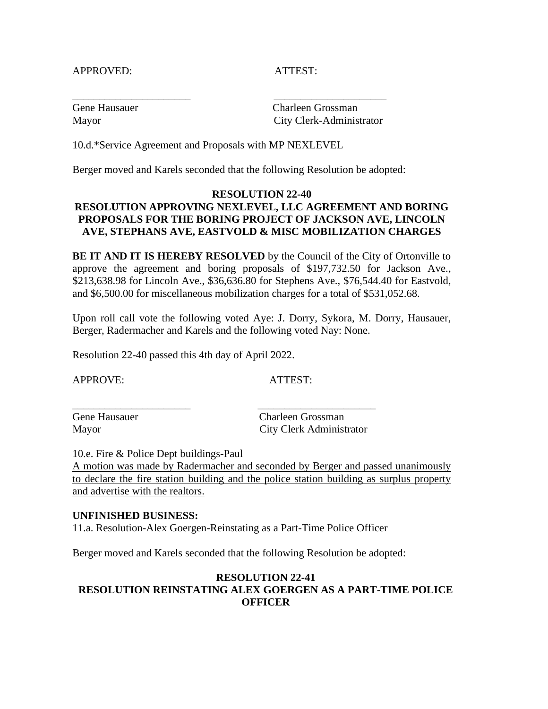#### APPROVED: ATTEST:

Gene Hausauer Charleen Grossman Mayor City Clerk-Administrator

10.d.\*Service Agreement and Proposals with MP NEXLEVEL

Berger moved and Karels seconded that the following Resolution be adopted:

\_\_\_\_\_\_\_\_\_\_\_\_\_\_\_\_\_\_\_\_\_\_ \_\_\_\_\_\_\_\_\_\_\_\_\_\_\_\_\_\_\_\_\_

## **RESOLUTION 22-40 RESOLUTION APPROVING NEXLEVEL, LLC AGREEMENT AND BORING PROPOSALS FOR THE BORING PROJECT OF JACKSON AVE, LINCOLN AVE, STEPHANS AVE, EASTVOLD & MISC MOBILIZATION CHARGES**

**BE IT AND IT IS HEREBY RESOLVED** by the Council of the City of Ortonville to approve the agreement and boring proposals of \$197,732.50 for Jackson Ave., \$213,638.98 for Lincoln Ave., \$36,636.80 for Stephens Ave., \$76,544.40 for Eastvold, and \$6,500.00 for miscellaneous mobilization charges for a total of \$531,052.68.

Upon roll call vote the following voted Aye: J. Dorry, Sykora, M. Dorry, Hausauer, Berger, Radermacher and Karels and the following voted Nay: None.

Resolution 22-40 passed this 4th day of April 2022.

APPROVE: ATTEST:

\_\_\_\_\_\_\_\_\_\_\_\_\_\_\_\_\_\_\_\_\_\_ \_\_\_\_\_\_\_\_\_\_\_\_\_\_\_\_\_\_\_\_\_\_

Gene Hausauer Charleen Grossman Mayor City Clerk Administrator

10.e. Fire & Police Dept buildings-Paul

A motion was made by Radermacher and seconded by Berger and passed unanimously to declare the fire station building and the police station building as surplus property and advertise with the realtors.

#### **UNFINISHED BUSINESS:**

11.a. Resolution-Alex Goergen-Reinstating as a Part-Time Police Officer

Berger moved and Karels seconded that the following Resolution be adopted:

## **RESOLUTION 22-41 RESOLUTION REINSTATING ALEX GOERGEN AS A PART-TIME POLICE OFFICER**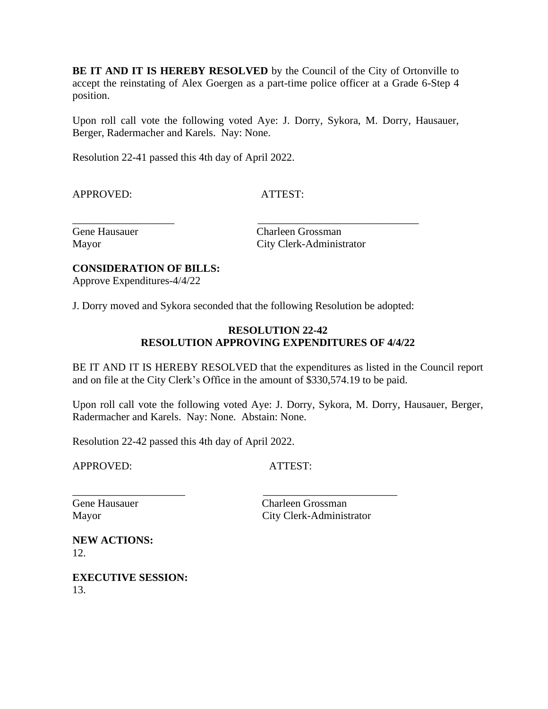**BE IT AND IT IS HEREBY RESOLVED** by the Council of the City of Ortonville to accept the reinstating of Alex Goergen as a part-time police officer at a Grade 6-Step 4 position.

Upon roll call vote the following voted Aye: J. Dorry, Sykora, M. Dorry, Hausauer, Berger, Radermacher and Karels. Nay: None.

Resolution 22-41 passed this 4th day of April 2022.

APPROVED: ATTEST:

Gene Hausauer Charleen Grossman Mayor City Clerk-Administrator

## **CONSIDERATION OF BILLS:**

Approve Expenditures-4/4/22

J. Dorry moved and Sykora seconded that the following Resolution be adopted:

\_\_\_\_\_\_\_\_\_\_\_\_\_\_\_\_\_\_\_\_\_ \_\_\_\_\_\_\_\_\_\_\_\_\_\_\_\_\_\_\_\_\_\_\_\_\_

\_\_\_\_\_\_\_\_\_\_\_\_\_\_\_\_\_\_\_ \_\_\_\_\_\_\_\_\_\_\_\_\_\_\_\_\_\_\_\_\_\_\_\_\_\_\_\_\_\_

## **RESOLUTION 22-42 RESOLUTION APPROVING EXPENDITURES OF 4/4/22**

BE IT AND IT IS HEREBY RESOLVED that the expenditures as listed in the Council report and on file at the City Clerk's Office in the amount of \$330,574.19 to be paid.

Upon roll call vote the following voted Aye: J. Dorry, Sykora, M. Dorry, Hausauer, Berger, Radermacher and Karels. Nay: None. Abstain: None.

Resolution 22-42 passed this 4th day of April 2022.

APPROVED: ATTEST:

Gene Hausauer Charleen Grossman Mayor City Clerk-Administrator

**NEW ACTIONS:** 12.

**EXECUTIVE SESSION:** 13.